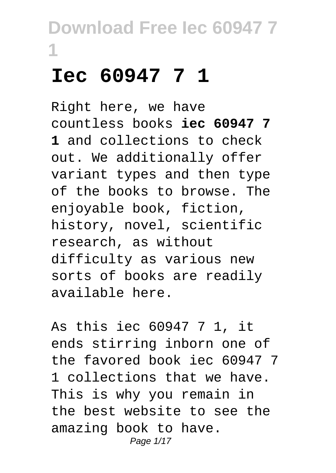### **Iec 60947 7 1**

Right here, we have countless books **iec 60947 7 1** and collections to check out. We additionally offer variant types and then type of the books to browse. The enjoyable book, fiction, history, novel, scientific research, as without difficulty as various new sorts of books are readily available here.

As this iec 60947 7 1, it ends stirring inborn one of the favored book iec 60947 7 1 collections that we have. This is why you remain in the best website to see the amazing book to have. Page 1/17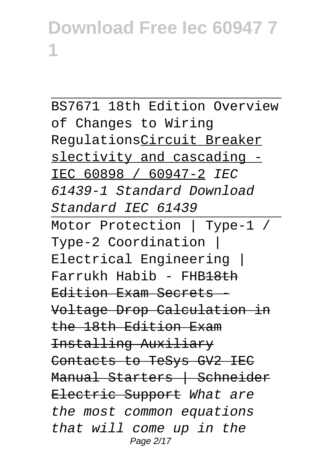BS7671 18th Edition Overview of Changes to Wiring RegulationsCircuit Breaker slectivity and cascading - IEC 60898 / 60947-2 IEC 61439-1 Standard Download Standard IEC 61439 Motor Protection | Type-1 / Type-2 Coordination | Electrical Engineering | Farrukh Habib - FHB18th Edition Exam Secrets - Voltage Drop Calculation in the 18th Edition Exam Installing Auxiliary Contacts to TeSys GV2 IEC Manual Starters | Schneider Electric Support What are the most common equations that will come up in the Page 2/17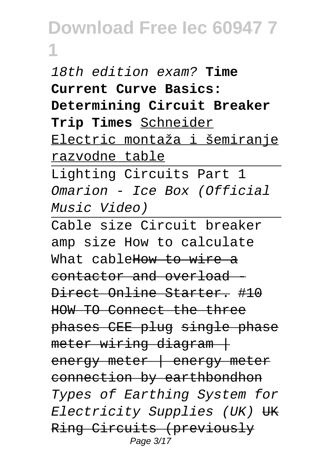18th edition exam? **Time Current Curve Basics: Determining Circuit Breaker Trip Times** Schneider Electric montaža i šemiranje razvodne table

Lighting Circuits Part 1 Omarion - Ice Box (Official Music Video)

Cable size Circuit breaker amp size How to calculate What cable How to wire a contactor and overload - Direct Online Starter. #10 HOW TO Connect the three phases CEE plug single phase  $meter$  wiring diagram  $+$ energy meter | energy meter connection by earthbondhon Types of Earthing System for Electricity Supplies (UK) UK Ring Circuits (previously Page 3/17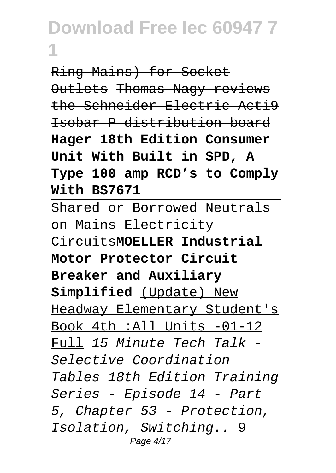Ring Mains) for Socket Outlets Thomas Nagy reviews the Schneider Electric Acti9 Isobar P distribution board **Hager 18th Edition Consumer Unit With Built in SPD, A Type 100 amp RCD's to Comply With BS7671**

Shared or Borrowed Neutrals on Mains Electricity Circuits**MOELLER Industrial Motor Protector Circuit Breaker and Auxiliary Simplified** (Update) New Headway Elementary Student's Book 4th :All Units -01-12 Full 15 Minute Tech Talk - Selective Coordination Tables 18th Edition Training Series - Episode 14 - Part 5, Chapter 53 - Protection, Isolation, Switching.. 9 Page 4/17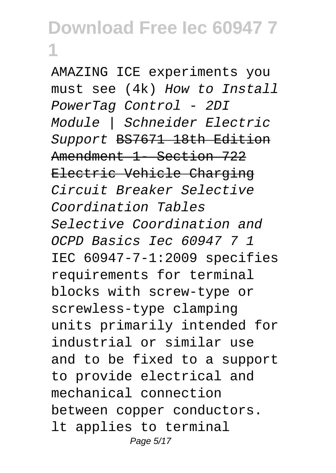AMAZING ICE experiments you must see (4k) How to Install PowerTag Control - 2DI Module | Schneider Electric Support BS7671 18th Edition Amendment 1 Section 722 Electric Vehicle Charging Circuit Breaker Selective Coordination Tables Selective Coordination and OCPD Basics Iec 60947 7 1 IEC 60947-7-1:2009 specifies requirements for terminal blocks with screw-type or screwless-type clamping units primarily intended for industrial or similar use and to be fixed to a support to provide electrical and mechanical connection between copper conductors. lt applies to terminal Page 5/17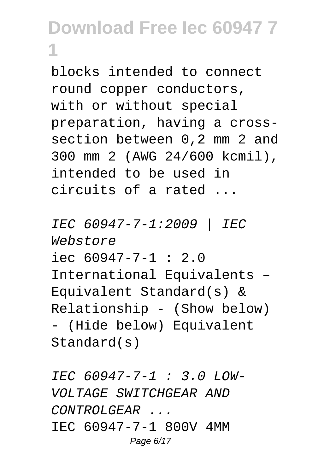blocks intended to connect round copper conductors, with or without special preparation, having a crosssection between 0,2 mm 2 and 300 mm 2 (AWG 24/600 kcmil), intended to be used in circuits of a rated ...

IEC 60947-7-1:2009 | IEC Webstore  $i$ ec 60947-7-1 : 2.0 International Equivalents – Equivalent Standard(s) & Relationship - (Show below) - (Hide below) Equivalent Standard(s)

IEC 60947-7-1 : 3.0 LOW-VOLTAGE SWITCHGEAR AND CONTROLGEAR ... IEC 60947-7-1 800V 4MM Page 6/17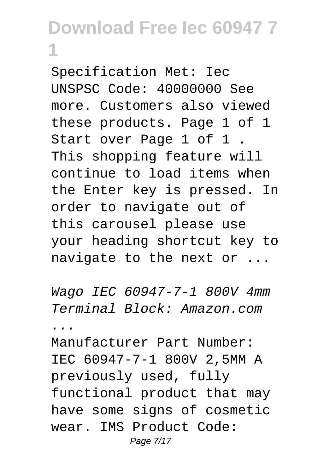Specification Met: Iec UNSPSC Code: 40000000 See more. Customers also viewed these products. Page 1 of 1 Start over Page 1 of 1 . This shopping feature will continue to load items when the Enter key is pressed. In order to navigate out of this carousel please use your heading shortcut key to navigate to the next or ...

Wago IEC 60947-7-1 800V 4mm Terminal Block: Amazon.com ...

Manufacturer Part Number: IEC 60947-7-1 800V 2,5MM A previously used, fully functional product that may have some signs of cosmetic wear. IMS Product Code: Page 7/17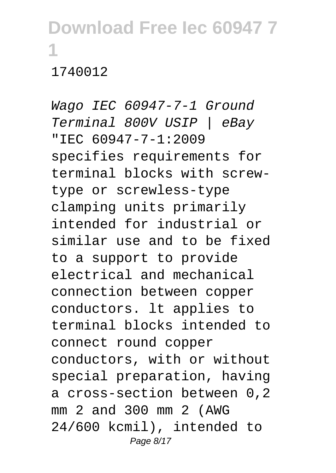#### 1740012

Wago IEC 60947-7-1 Ground Terminal 800V USIP | eBay "IEC 60947-7-1:2009 specifies requirements for terminal blocks with screwtype or screwless-type clamping units primarily intended for industrial or similar use and to be fixed to a support to provide electrical and mechanical connection between copper conductors. lt applies to terminal blocks intended to connect round copper conductors, with or without special preparation, having a cross-section between 0,2 mm 2 and 300 mm 2 (AWG 24/600 kcmil), intended to Page 8/17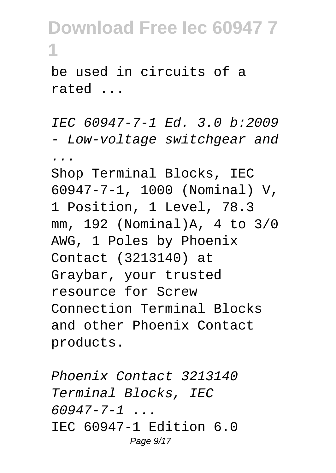be used in circuits of a rated ...

IEC 60947-7-1 Ed. 3.0 b:2009 - Low-voltage switchgear and ... Shop Terminal Blocks, IEC 60947-7-1, 1000 (Nominal) V, 1 Position, 1 Level, 78.3 mm, 192 (Nominal)A, 4 to 3/0 AWG, 1 Poles by Phoenix Contact (3213140) at Graybar, your trusted resource for Screw Connection Terminal Blocks and other Phoenix Contact products.

Phoenix Contact 3213140 Terminal Blocks, IEC  $60947 - 7 - 1$  ... IEC 60947-1 Edition 6.0 Page 9/17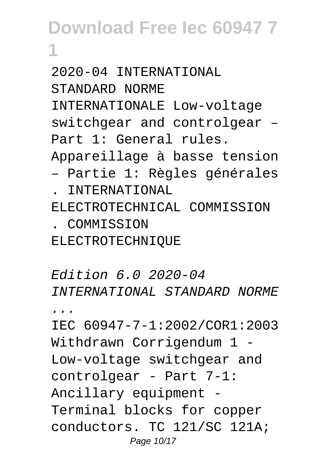2020-04 INTERNATIONAL STANDARD NORME INTERNATIONALE Low-voltage switchgear and controlgear – Part 1: General rules. Appareillage à basse tension – Partie 1: Règles générales . INTERNATIONAL ELECTROTECHNICAL COMMISSION . COMMISSION

ELECTROTECHNIQUE

Edition 6.0 2020-04 INTERNATIONAL STANDARD NORME ... IEC 60947-7-1:2002/COR1:2003

Withdrawn Corrigendum 1 -Low-voltage switchgear and controlgear - Part 7-1: Ancillary equipment - Terminal blocks for copper conductors. TC 121/SC 121A; Page 10/17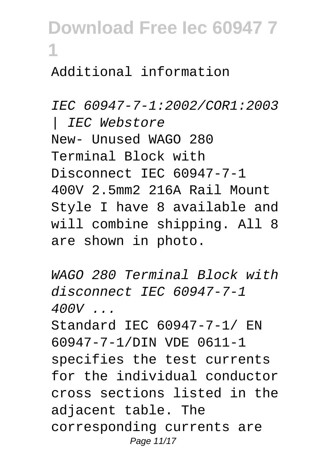### Additional information

**1**

IEC 60947-7-1:2002/COR1:2003 | IEC Webstore New- Unused WAGO 280 Terminal Block with Disconnect IEC 60947-7-1 400V 2.5mm2 216A Rail Mount Style I have 8 available and will combine shipping. All 8 are shown in photo.

WAGO 280 Terminal Block with disconnect IEC 60947-7-1 400V ... Standard IEC 60947-7-1/ EN 60947-7-1/DIN VDE 0611-1 specifies the test currents for the individual conductor cross sections listed in the adjacent table. The corresponding currents are Page 11/17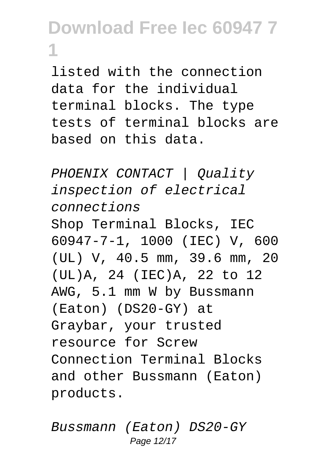listed with the connection data for the individual terminal blocks. The type tests of terminal blocks are based on this data.

PHOENIX CONTACT | Quality inspection of electrical connections Shop Terminal Blocks, IEC 60947-7-1, 1000 (IEC) V, 600 (UL) V, 40.5 mm, 39.6 mm, 20 (UL)A, 24 (IEC)A, 22 to 12 AWG, 5.1 mm W by Bussmann (Eaton) (DS20-GY) at Graybar, your trusted resource for Screw Connection Terminal Blocks and other Bussmann (Eaton) products.

Bussmann (Eaton) DS20-GY Page 12/17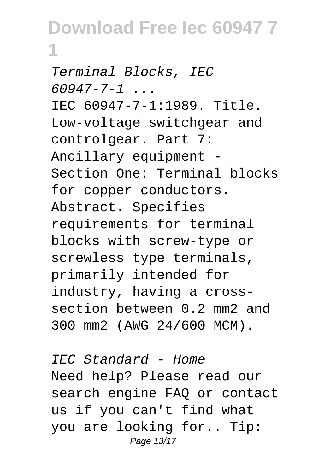Terminal Blocks, IEC  $60947 - 7 - 1$  ... IEC 60947-7-1:1989. Title. Low-voltage switchgear and controlgear. Part 7: Ancillary equipment - Section One: Terminal blocks for copper conductors. Abstract. Specifies requirements for terminal blocks with screw-type or screwless type terminals, primarily intended for industry, having a crosssection between 0.2 mm2 and 300 mm2 (AWG 24/600 MCM).

IEC Standard - Home Need help? Please read our search engine FAQ or contact us if you can't find what you are looking for.. Tip: Page 13/17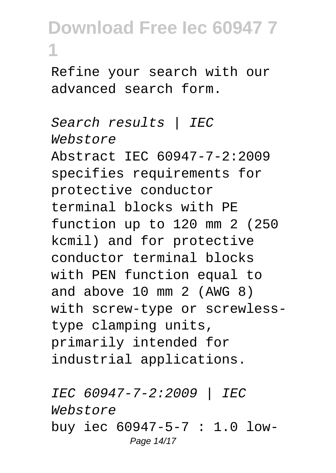Refine your search with our advanced search form.

Search results | IEC Webstore Abstract IEC 60947-7-2:2009 specifies requirements for protective conductor terminal blocks with PE function up to 120 mm 2 (250 kcmil) and for protective conductor terminal blocks with PEN function equal to and above 10 mm 2 (AWG 8) with screw-type or screwlesstype clamping units, primarily intended for industrial applications.

IEC 60947-7-2:2009 | IEC Webstore buy iec 60947-5-7 : 1.0 low-Page 14/17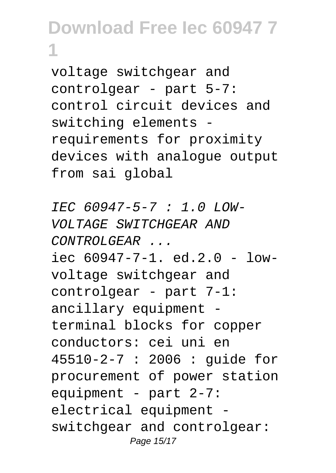voltage switchgear and controlgear - part 5-7: control circuit devices and switching elements requirements for proximity devices with analogue output from sai global

IEC 60947-5-7 : 1.0 LOW-VOLTAGE SWITCHGEAR AND  $CONTROLGERAR$ iec 60947-7-1. ed.2.0 - lowvoltage switchgear and controlgear - part 7-1: ancillary equipment terminal blocks for copper conductors: cei uni en 45510-2-7 : 2006 : guide for procurement of power station equipment - part 2-7: electrical equipment switchgear and controlgear: Page 15/17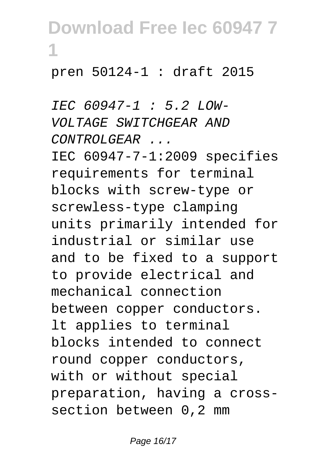#### pren 50124-1 : draft 2015

IEC 60947-1 : 5.2 LOW-VOLTAGE SWITCHGEAR AND  $CONTROLGERAR$ IEC 60947-7-1:2009 specifies requirements for terminal blocks with screw-type or screwless-type clamping units primarily intended for industrial or similar use and to be fixed to a support to provide electrical and mechanical connection between copper conductors. lt applies to terminal blocks intended to connect round copper conductors, with or without special preparation, having a crosssection between 0,2 mm